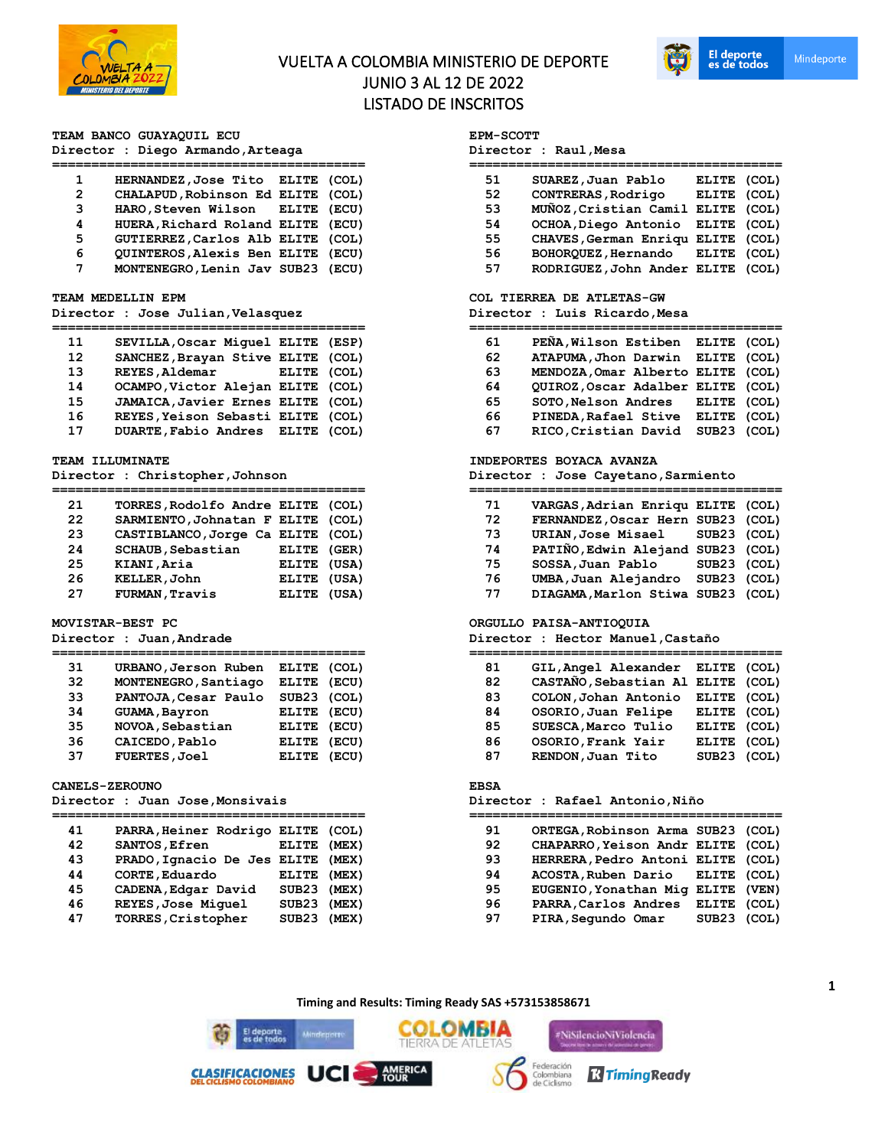

# VUELTA A COLOMBIA MINISTERIO DE DEPORTE JUNIO 3 AL 12 DE 2022 LISTADO DE INSCRITOS



### **TEAM BANCO GUAYAQUIL ECU**

## **Director : Diego Armando,Arteaga**

| 1              | HERNANDEZ, Jose Tito ELITE (COL)  |  |
|----------------|-----------------------------------|--|
| $\overline{2}$ | CHALAPUD, Robinson Ed ELITE (COL) |  |
| 3              | HARO, Steven Wilson ELITE (ECU)   |  |
| 4              | HUERA, Richard Roland ELITE (ECU) |  |
| 5              | GUTIERREZ, Carlos Alb ELITE (COL) |  |
| 6              | QUINTEROS, Alexis Ben ELITE (ECU) |  |
| 7              | MONTENEGRO, Lenin Jav SUB23 (ECU) |  |

#### **TEAM MEDELLIN EPM**

### **Director : Jose Julian,Velasquez**

| 11                | SEVILLA, Oscar Miquel ELITE (ESP) |             |  |
|-------------------|-----------------------------------|-------------|--|
| $12 \overline{ }$ | SANCHEZ, Brayan Stive ELITE (COL) |             |  |
| 13                | <b>REYES, Aldemar</b>             | ELITE (COL) |  |
| 14                | OCAMPO, Victor Alejan ELITE (COL) |             |  |
| 15                | JAMAICA, Javier Ernes ELITE (COL) |             |  |
| 16                | REYES, Yeison Sebasti ELITE (COL) |             |  |
| 17                | DUARTE, Fabio Andres ELITE (COL)  |             |  |

### **TEAM ILLUMINATE**

**Director : Christopher,Johnson**

| 21 | TORRES, Rodolfo Andre ELITE (COL) |             |  |
|----|-----------------------------------|-------------|--|
| 22 | SARMIENTO, Johnatan F ELITE (COL) |             |  |
| 23 | CASTIBLANCO, Jorge Ca ELITE (COL) |             |  |
| 24 | <b>SCHAUB, Sebastian</b>          | ELITE (GER) |  |
| 25 | KIANI, Aria                       | ELITE (USA) |  |
| 26 | KELLER, John                      | ELITE (USA) |  |
| 27 | FURMAN, Travis                    | ELITE (USA) |  |

#### **MOVISTAR-BEST PC**

**Director : Juan,Andrade**

| 31 | URBANO, Jerson Ruben | ELITE (COL)  |       |
|----|----------------------|--------------|-------|
| 32 | MONTENEGRO, Santiago | ELITE (ECU)  |       |
| 33 | PANTOJA, Cesar Paulo | SUB23 (COL)  |       |
| 34 | <b>GUAMA, Bayron</b> | ELITE (ECU)  |       |
| 35 | NOVOA, Sebastian     | ELITE (ECU)  |       |
| 36 | CAICEDO, Pablo       | <b>ELITE</b> | (ECU) |
| 37 | <b>FUERTES, Joel</b> | ELITE (ECU)  |       |
|    |                      |              |       |

#### **CANELS-ZEROUNO**

**Director : Juan Jose,Monsivais**

| 41<br>42 | PARRA, Heiner Rodrigo ELITE (COL)<br>SANTOS, Efren | ELITE (MEX)                |       |
|----------|----------------------------------------------------|----------------------------|-------|
| 43       | PRADO, Ignacio De Jes ELITE                        |                            | (MEX) |
| 44<br>45 | CORTE, Eduardo<br>CADENA, Edgar David              | ELITE (MEX)<br>SUB23 (MEX) |       |
| 46<br>47 | REYES, Jose Miquel<br>TORRES, Cristopher           | SUB23 (MEX)<br>SUB23 (MEX) |       |
|          |                                                    |                            |       |

## **EPM-SCOTT**

| Director : Raul,Mesa |  |  |
|----------------------|--|--|
|----------------------|--|--|

| 51 | SUAREZ, Juan Pablo                | ELITE (COL) |  |
|----|-----------------------------------|-------------|--|
| 52 | CONTRERAS, Rodrigo                | ELITE (COL) |  |
| 53 | MUÑOZ, Cristian Camil ELITE (COL) |             |  |
| 54 | OCHOA, Diego Antonio ELITE (COL)  |             |  |
| 55 | CHAVES, German Enriqu ELITE (COL) |             |  |
| 56 | BOHORQUEZ, Hernando ELITE (COL)   |             |  |
| 57 | RODRIGUEZ, John Ander ELITE (COL) |             |  |
|    |                                   |             |  |

#### **COL TIERREA DE ATLETAS-GW**

**Director : Luis Ricardo,Mesa**

| PEÑA, Wilson Estiben ELITE (COL)<br>61  |             |  |
|-----------------------------------------|-------------|--|
| ATAPUMA, Jhon Darwin ELITE (COL)<br>62  |             |  |
| MENDOZA, Omar Alberto ELITE (COL)<br>63 |             |  |
| QUIROZ, Oscar Adalber ELITE (COL)<br>64 |             |  |
| SOTO, Nelson Andres ELITE (COL)<br>65   |             |  |
| PINEDA, Rafael Stive<br>66              | ELITE (COL) |  |
| RICO, Cristian David<br>67              | SUB23 (COL) |  |

## **INDEPORTES BOYACA AVANZA**

**Director : Jose Cayetano,Sarmiento**

| 71 | VARGAS, Adrian Enriqu ELITE (COL) |             |  |
|----|-----------------------------------|-------------|--|
| 72 | FERNANDEZ, Oscar Hern SUB23 (COL) |             |  |
| 73 | URIAN, Jose Misael SUB23 (COL)    |             |  |
| 74 | PATIÑO, Edwin Alejand SUB23 (COL) |             |  |
| 75 | SOSSA, Juan Pablo                 | SUB23 (COL) |  |
| 76 | UMBA, Juan Alejandro              | SUB23 (COL) |  |
| 77 | DIAGAMA, Marlon Stiwa SUB23 (COL) |             |  |

### **ORGULLO PAISA-ANTIOQUIA**

**Director : Hector Manuel,Castaño**

| 81 | GIL, Angel Alexander ELITE (COL)  |             |  |
|----|-----------------------------------|-------------|--|
| 82 | CASTAÑO, Sebastian Al ELITE (COL) |             |  |
| 83 | COLON, Johan Antonio              | ELITE (COL) |  |
| 84 | OSORIO, Juan Felipe               | ELITE (COL) |  |
| 85 | SUESCA, Marco Tulio               | ELITE (COL) |  |
| 86 | OSORIO, Frank Yair                | ELITE (COL) |  |
| 87 | RENDON, Juan Tito                 | SUB23 (COL) |  |

#### **EBSA**

#### **Director : Rafael Antonio,Niño**

| 91 | ORTEGA, Robinson Arma SUB23 (COL) |             |  |
|----|-----------------------------------|-------------|--|
| 92 | CHAPARRO, Yeison Andr ELITE (COL) |             |  |
| 93 | HERRERA, Pedro Antoni ELITE (COL) |             |  |
| 94 | ACOSTA, Ruben Dario ELITE (COL)   |             |  |
| 95 | EUGENIO, Yonathan Mig ELITE (VEN) |             |  |
| 96 | PARRA, Carlos Andres              | ELITE (COL) |  |
| 97 | PIRA, Segundo Omar                | SUB23 (COL) |  |
|    |                                   |             |  |

**Timing and Results: Timing Ready SAS +573153858671**

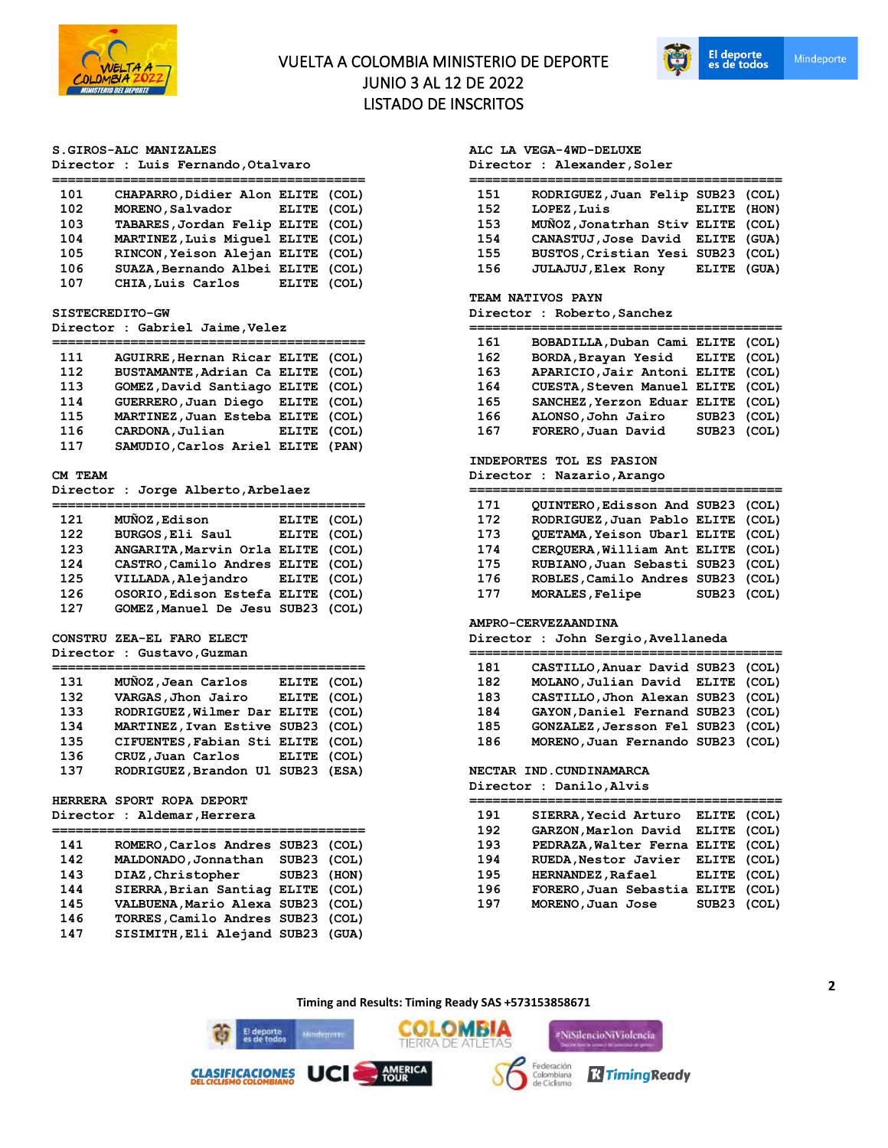

# VUELTA A COLOMBIA MINISTERIO DE DEPORTE JUNIO 3 AL 12 DE 2022 LISTADO DE INSCRITOS



### **S.GIROS-ALC MANIZALES**

|  |  |  | Director : Luis Fernando, Otalvaro |  |
|--|--|--|------------------------------------|--|
|--|--|--|------------------------------------|--|

| 101 | CHAPARRO, Didier Alon ELITE (COL) |             |  |
|-----|-----------------------------------|-------------|--|
| 102 | MORENO, Salvador                  | ELITE (COL) |  |
| 103 | TABARES, Jordan Felip ELITE (COL) |             |  |
| 104 | MARTINEZ, Luis Miquel ELITE (COL) |             |  |
| 105 | RINCON, Yeison Alejan ELITE (COL) |             |  |
| 106 | SUAZA, Bernando Albei ELITE (COL) |             |  |
| 107 | CHIA, Luis Carlos                 | ELITE (COL) |  |

#### **SISTECREDITO-GW**

**Director : Gabriel Jaime,Velez**

| 111 | AGUIRRE, Hernan Ricar ELITE (COL) |             |  |
|-----|-----------------------------------|-------------|--|
| 112 | BUSTAMANTE, Adrian Ca ELITE (COL) |             |  |
| 113 | GOMEZ, David Santiago ELITE (COL) |             |  |
| 114 | GUERRERO, Juan Diego ELITE (COL)  |             |  |
| 115 | MARTINEZ, Juan Esteba ELITE (COL) |             |  |
| 116 | CARDONA, Julian                   | ELITE (COL) |  |
| 117 | SAMUDIO, Carlos Ariel ELITE (PAN) |             |  |
|     |                                   |             |  |

### **CM TEAM**

**Director : Jorge Alberto,Arbelaez**

| 121 | MUÑOZ, Edison                     | ELITE (COL) |  |
|-----|-----------------------------------|-------------|--|
| 122 | BURGOS, Eli Saul                  | ELITE (COL) |  |
| 123 | ANGARITA, Marvin Orla ELITE (COL) |             |  |
| 124 | CASTRO, Camilo Andres ELITE (COL) |             |  |
| 125 | VILLADA, Alejandro ELITE (COL)    |             |  |
| 126 | OSORIO, Edison Estefa ELITE (COL) |             |  |
| 127 | GOMEZ, Manuel De Jesu SUB23 (COL) |             |  |
|     |                                   |             |  |

### **CONSTRU ZEA-EL FARO ELECT Director : Gustavo,Guzman**

| 131 | MUÑOZ, Jean Carlos                | ELITE (COL) |  |
|-----|-----------------------------------|-------------|--|
| 132 | VARGAS, Jhon Jairo                | ELITE (COL) |  |
| 133 | RODRIGUEZ, Wilmer Dar ELITE (COL) |             |  |
| 134 | MARTINEZ, Ivan Estive SUB23 (COL) |             |  |
| 135 | CIFUENTES, Fabian Sti ELITE (COL) |             |  |
| 136 | CRUZ,Juan Carlos                  | ELITE (COL) |  |
| 137 | RODRIGUEZ, Brandon Ul SUB23 (ESA) |             |  |

### **HERRERA SPORT ROPA DEPORT**

**Director : Aldemar,Herrera**

| 141 | ROMERO, Carlos Andres SUB23 (COL) |             |  |
|-----|-----------------------------------|-------------|--|
| 142 | MALDONADO, Jonnathan              | SUB23 (COL) |  |
| 143 | DIAZ, Christopher                 | SUB23 (HON) |  |
| 144 | SIERRA, Brian Santiag ELITE (COL) |             |  |
| 145 | VALBUENA, Mario Alexa SUB23 (COL) |             |  |
| 146 | TORRES, Camilo Andres SUB23 (COL) |             |  |
| 147 | SISIMITH, Eli Alejand SUB23 (GUA) |             |  |
|     |                                   |             |  |

## **ALC LA VEGA-4WD-DELUXE**

**Director : Alexander,Soler**

| 151 | RODRIGUEZ, Juan Felip SUB23 (COL) |             |  |
|-----|-----------------------------------|-------------|--|
| 152 | LOPEZ, Luis                       | ELITE (HON) |  |
| 153 | MUÑOZ, Jonatrhan Stiv ELITE (COL) |             |  |
| 154 | CANASTUJ, Jose David ELITE (GUA)  |             |  |
| 155 | BUSTOS, Cristian Yesi SUB23 (COL) |             |  |
| 156 | <b>JULAJUJ</b> , Elex Rony        | ELITE (GUA) |  |

#### **TEAM NATIVOS PAYN**

**Director : Roberto,Sanchez**

| 161 | BOBADILLA, Duban Cami ELITE (COL) |             |  |
|-----|-----------------------------------|-------------|--|
| 162 | BORDA, Brayan Yesid ELITE (COL)   |             |  |
| 163 | APARICIO, Jair Antoni ELITE (COL) |             |  |
| 164 | CUESTA, Steven Manuel ELITE (COL) |             |  |
| 165 | SANCHEZ, Yerzon Eduar ELITE (COL) |             |  |
| 166 | ALONSO, John Jairo                | SUB23 (COL) |  |
| 167 | FORERO, Juan David                | SUB23 (COL) |  |

## **INDEPORTES TOL ES PASION**

**Director : Nazario,Arango**

| 171 | QUINTERO, Edisson And SUB23 (COL) |             |  |
|-----|-----------------------------------|-------------|--|
| 172 | RODRIGUEZ, Juan Pablo ELITE (COL) |             |  |
| 173 | QUETAMA, Yeison Ubarl ELITE (COL) |             |  |
| 174 | CERQUERA, William Ant ELITE (COL) |             |  |
| 175 | RUBIANO, Juan Sebasti SUB23 (COL) |             |  |
| 176 | ROBLES, Camilo Andres SUB23 (COL) |             |  |
| 177 | MORALES, Felipe                   | SUB23 (COL) |  |

#### **AMPRO-CERVEZAANDINA**

**Director : John Sergio,Avellaneda**

| 181 | CASTILLO, Anuar David SUB23 (COL) |  |
|-----|-----------------------------------|--|
| 182 | MOLANO, Julian David ELITE (COL)  |  |
| 183 | CASTILLO, Jhon Alexan SUB23 (COL) |  |
| 184 | GAYON, Daniel Fernand SUB23 (COL) |  |
| 185 | GONZALEZ, Jersson Fel SUB23 (COL) |  |
| 186 | MORENO, Juan Fernando SUB23 (COL) |  |
|     |                                   |  |

# **NECTAR IND.CUNDINAMARCA**

| Director : Danilo, Alvis |  |  |  |
|--------------------------|--|--|--|
|--------------------------|--|--|--|

| 191 | SIERRA, Yecid Arturo              | ELITE (COL) |  |
|-----|-----------------------------------|-------------|--|
| 192 | GARZON, Marlon David ELITE (COL)  |             |  |
| 193 | PEDRAZA, Walter Ferna ELITE (COL) |             |  |
| 194 | RUEDA, Nestor Javier ELITE (COL)  |             |  |
| 195 | <b>HERNANDEZ, Rafael</b>          | ELITE (COL) |  |
| 196 | FORERO, Juan Sebastia             | ELITE (COL) |  |
| 197 | MORENO, Juan Jose                 | SUB23 (COL) |  |
|     |                                   |             |  |

**Timing and Results: Timing Ready SAS +573153858671**